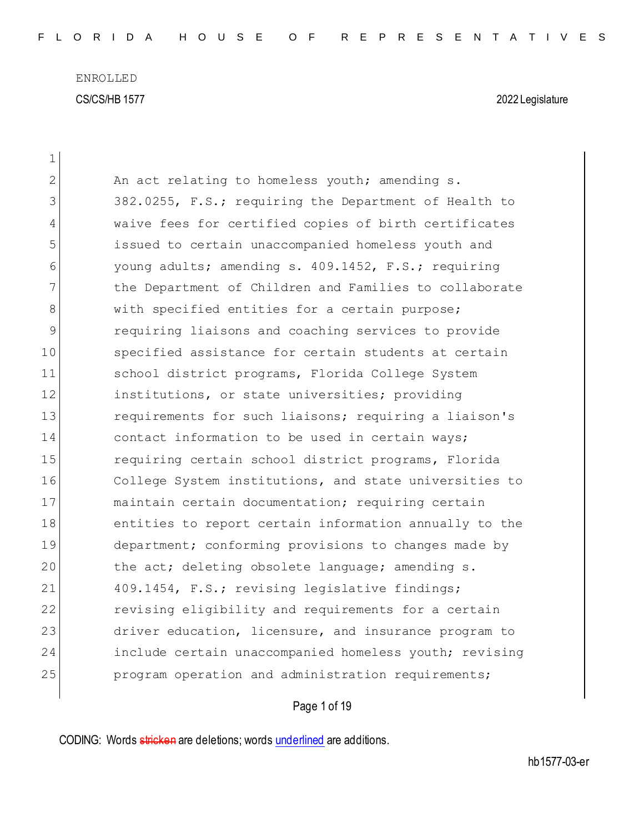$\overline{\phantom{a}}$ 

| 1  |                                                        |
|----|--------------------------------------------------------|
| 2  | An act relating to homeless youth; amending s.         |
| 3  | 382.0255, F.S.; requiring the Department of Health to  |
| 4  | waive fees for certified copies of birth certificates  |
| 5  | issued to certain unaccompanied homeless youth and     |
| 6  | young adults; amending s. 409.1452, F.S.; requiring    |
| 7  | the Department of Children and Families to collaborate |
| 8  | with specified entities for a certain purpose;         |
| 9  | requiring liaisons and coaching services to provide    |
| 10 | specified assistance for certain students at certain   |
| 11 | school district programs, Florida College System       |
| 12 | institutions, or state universities; providing         |
| 13 | requirements for such liaisons; requiring a liaison's  |
| 14 | contact information to be used in certain ways;        |
| 15 | requiring certain school district programs, Florida    |
| 16 | College System institutions, and state universities to |
| 17 | maintain certain documentation; requiring certain      |
| 18 | entities to report certain information annually to the |
| 19 | department; conforming provisions to changes made by   |
| 20 | the act; deleting obsolete language; amending s.       |
| 21 | 409.1454, F.S.; revising legislative findings;         |
| 22 | revising eligibility and requirements for a certain    |
| 23 | driver education, licensure, and insurance program to  |
| 24 | include certain unaccompanied homeless youth; revising |
| 25 | program operation and administration requirements;     |

# Page 1 of 19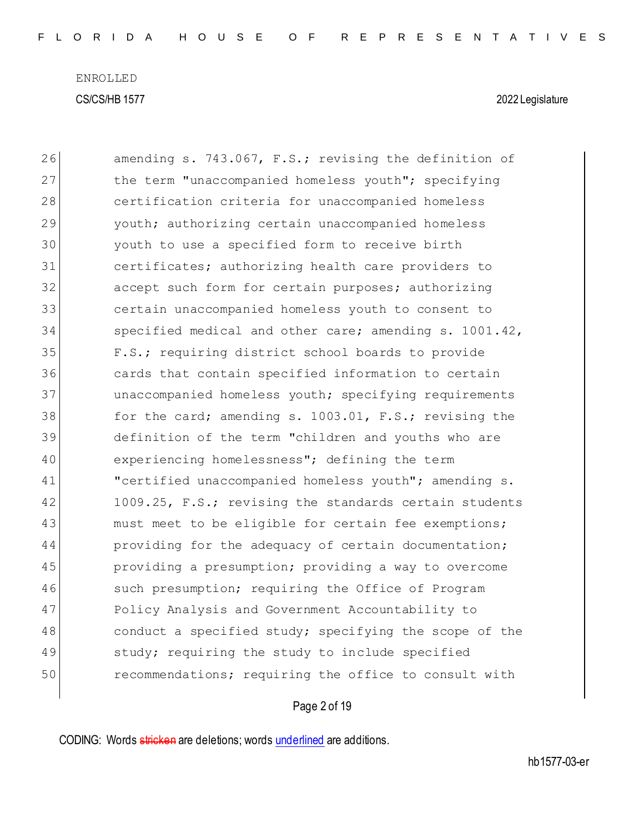| 26 | amending s. 743.067, F.S.; revising the definition of  |
|----|--------------------------------------------------------|
| 27 | the term "unaccompanied homeless youth"; specifying    |
| 28 | certification criteria for unaccompanied homeless      |
| 29 | youth; authorizing certain unaccompanied homeless      |
| 30 | youth to use a specified form to receive birth         |
| 31 | certificates; authorizing health care providers to     |
| 32 | accept such form for certain purposes; authorizing     |
| 33 | certain unaccompanied homeless youth to consent to     |
| 34 | specified medical and other care; amending s. 1001.42, |
| 35 | F.S.; requiring district school boards to provide      |
| 36 | cards that contain specified information to certain    |
| 37 | unaccompanied homeless youth; specifying requirements  |
| 38 | for the card; amending s. 1003.01, F.S.; revising the  |
| 39 | definition of the term "children and youths who are    |
| 40 | experiencing homelessness"; defining the term          |
| 41 | "certified unaccompanied homeless youth"; amending s.  |
| 42 | 1009.25, F.S.; revising the standards certain students |
| 43 | must meet to be eligible for certain fee exemptions;   |
| 44 | providing for the adequacy of certain documentation;   |
| 45 | providing a presumption; providing a way to overcome   |
| 46 | such presumption; requiring the Office of Program      |
| 47 | Policy Analysis and Government Accountability to       |
| 48 | conduct a specified study; specifying the scope of the |
| 49 | study; requiring the study to include specified        |
| 50 | recommendations; requiring the office to consult with  |
|    |                                                        |

# Page 2 of 19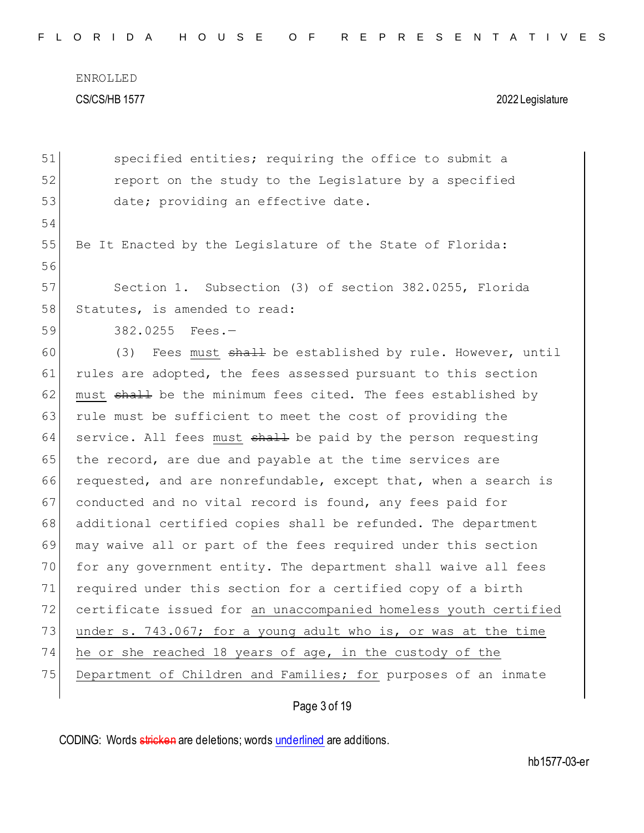51 specified entities; requiring the office to submit a 52 **report on the study to the Legislature by a specified** 53 date; providing an effective date. 54 55 Be It Enacted by the Leqislature of the State of Florida: 56 57 Section 1. Subsection (3) of section 382.0255, Florida 58 Statutes, is amended to read: 59 382.0255 Fees.— 60 (3) Fees must  $shall$  be established by rule. However, until 61 rules are adopted, the fees assessed pursuant to this section 62 must  $\frac{1}{2}$  be the minimum fees cited. The fees established by 63 rule must be sufficient to meet the cost of providing the 64 service. All fees must  $shall$  be paid by the person requesting 65 the record, are due and payable at the time services are 66 requested, and are nonrefundable, except that, when a search is 67 conducted and no vital record is found, any fees paid for 68 additional certified copies shall be refunded. The department 69 may waive all or part of the fees required under this section 70 for any government entity. The department shall waive all fees 71 required under this section for a certified copy of a birth 72 certificate issued for an unaccompanied homeless youth certified 73 under s. 743.067; for a young adult who is, or was at the time 74 he or she reached 18 years of age, in the custody of the 75 Department of Children and Families; for purposes of an inmate

### Page 3 of 19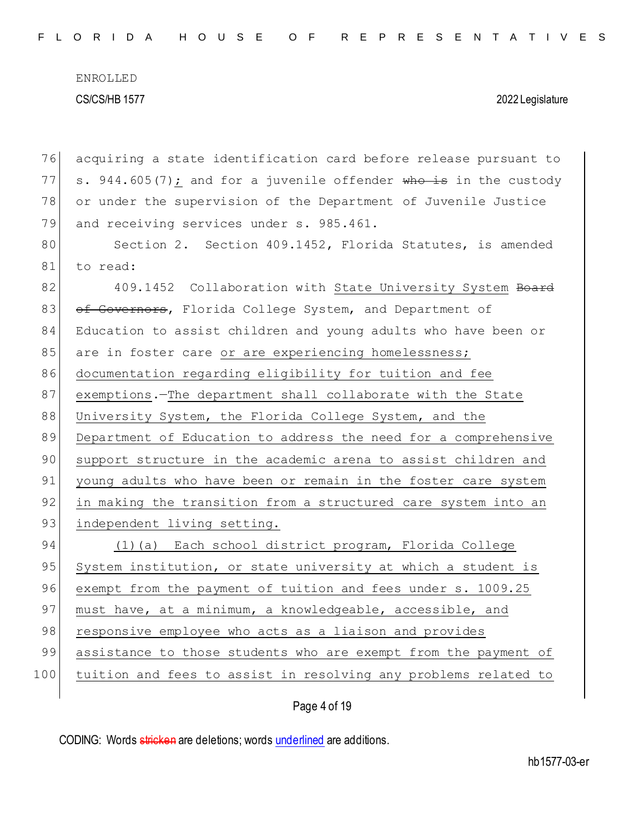76 acquiring a state identification card before release pursuant to 77 s. 944.605(7); and for a juvenile offender who is in the custody 78 or under the supervision of the Department of Juvenile Justice 79 and receiving services under s. 985.461. 80 Section 2. Section 409.1452, Florida Statutes, is amended 81 to read: 82 409.1452 Collaboration with State University System Board 83 of Governors, Florida College System, and Department of 84 Education to assist children and young adults who have been or 85 are in foster care or are experiencing homelessness; 86 documentation regarding eligibility for tuition and fee 87 exemptions.—The department shall collaborate with the State 88 University System, the Florida College System, and the 89 Department of Education to address the need for a comprehensive 90 support structure in the academic arena to assist children and 91 young adults who have been or remain in the foster care system 92 in making the transition from a structured care system into an 93 independent living setting. 94 (1)(a) Each school district program, Florida College 95 System institution, or state university at which a student is 96 exempt from the payment of tuition and fees under s. 1009.25 97 must have, at a minimum, a knowledgeable, accessible, and 98 responsive employee who acts as a liaison and provides 99 assistance to those students who are exempt from the payment of 100 tuition and fees to assist in resolving any problems related to

Page 4 of 19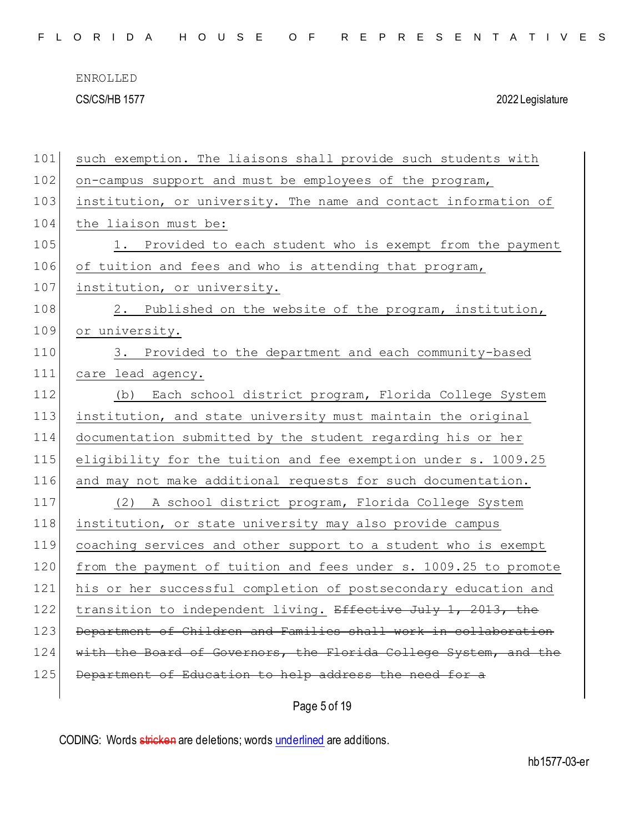|  |  |  |  |  |  |  |  |  | FLORIDA HOUSE OF REPRESENTATIVES |  |  |  |  |  |  |  |  |  |  |  |  |  |  |  |
|--|--|--|--|--|--|--|--|--|----------------------------------|--|--|--|--|--|--|--|--|--|--|--|--|--|--|--|
|--|--|--|--|--|--|--|--|--|----------------------------------|--|--|--|--|--|--|--|--|--|--|--|--|--|--|--|

| 101 | such exemption. The liaisons shall provide such students with    |
|-----|------------------------------------------------------------------|
| 102 | on-campus support and must be employees of the program,          |
| 103 | institution, or university. The name and contact information of  |
| 104 | the liaison must be:                                             |
| 105 | 1. Provided to each student who is exempt from the payment       |
| 106 | of tuition and fees and who is attending that program,           |
| 107 | institution, or university.                                      |
| 108 | 2. Published on the website of the program, institution,         |
| 109 | or university.                                                   |
| 110 | 3. Provided to the department and each community-based           |
| 111 | care lead agency.                                                |
| 112 | Each school district program, Florida College System<br>(b)      |
| 113 | institution, and state university must maintain the original     |
| 114 | documentation submitted by the student regarding his or her      |
| 115 | eligibility for the tuition and fee exemption under s. 1009.25   |
| 116 | and may not make additional requests for such documentation.     |
| 117 | (2) A school district program, Florida College System            |
| 118 | institution, or state university may also provide campus         |
| 119 | coaching services and other support to a student who is exempt   |
| 120 | from the payment of tuition and fees under s. 1009.25 to promote |
| 121 | his or her successful completion of postsecondary education and  |
| 122 | transition to independent living. Effective July 1, 2013, the    |
| 123 | Department of Children and Families shall work in collaboration  |
| 124 | with the Board of Governors, the Florida College System, and the |
| 125 | Department of Education to help address the need for a           |
|     |                                                                  |

Page 5 of 19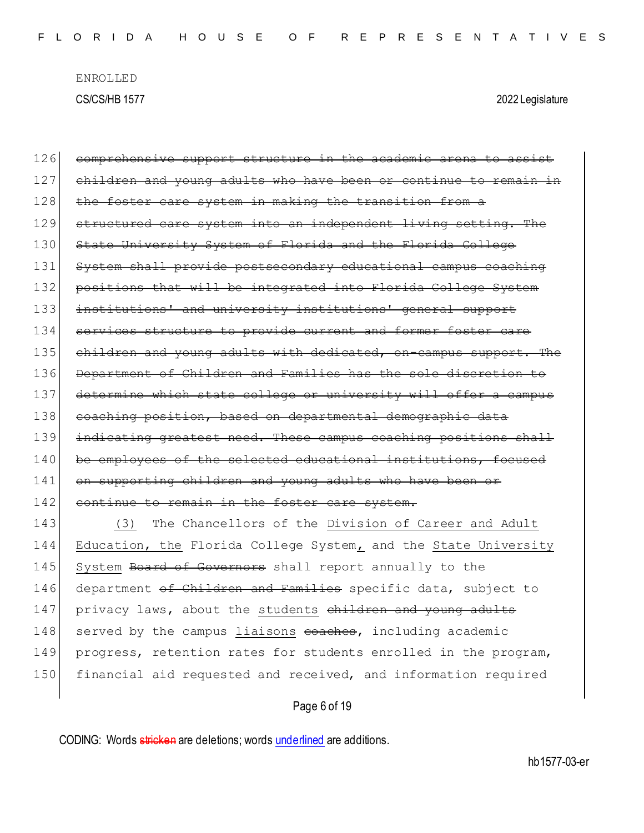126 comprehensive support structure in the academic arena to assist 127 children and young adults who have been or continue to remain 128 the foster care system in making the transition from a 129 structured care system into an independent living setting. The 130 State University System of Florida and the Florida College 131 System shall provide postsecondary educational campus coaching 132 positions that will be integrated into Florida College System 133 institutions' and university institutions' general support 134 services structure to provide current and former foster care 135 children and young adults with dedicated, on-campus support. The 136 Department of Children and Families has the sole discretion to 137 determine which state college or university will offer a campus 138 coaching position, based on departmental demographic data 139 indicating greatest need. These campus coaching positions shall 140 be employees of the selected educational institutions, focused 141 on supporting children and young adults who have been or 142 continue to remain in the foster care system. 143 (3) The Chancellors of the Division of Career and Adult 144 Education, the Florida College System, and the State University

145 System Board of Governors shall report annually to the 146 department of Children and Families specific data, subject to 147 privacy laws, about the students children and young adults 148 served by the campus liaisons coaches, including academic 149 progress, retention rates for students enrolled in the program, 150 financial aid requested and received, and information required

Page 6 of 19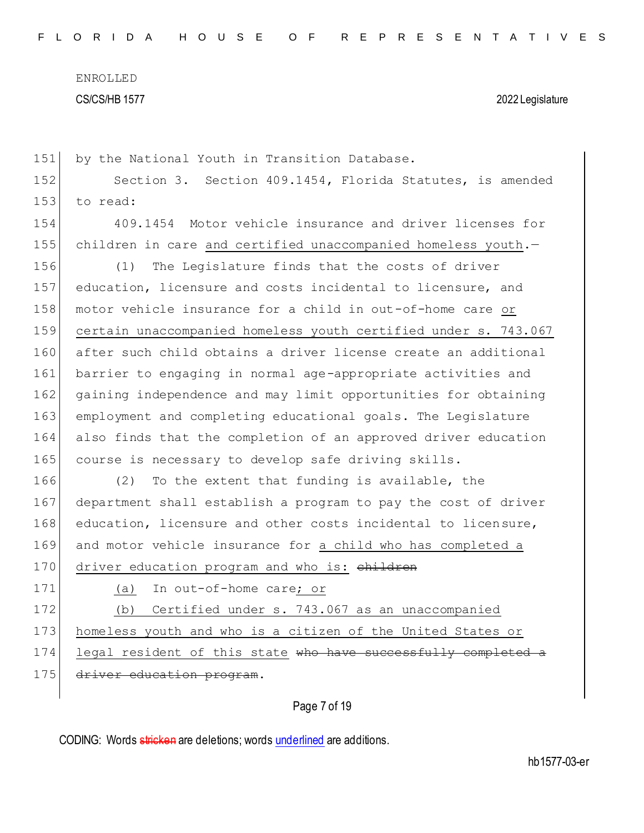| 152 | Section 3. Section 409.1454, Florida Statutes, is amended       |
|-----|-----------------------------------------------------------------|
| 153 | to read:                                                        |
| 154 | 409.1454 Motor vehicle insurance and driver licenses for        |
| 155 | children in care and certified unaccompanied homeless youth.-   |
| 156 | The Legislature finds that the costs of driver<br>(1)           |
| 157 | education, licensure and costs incidental to licensure, and     |
| 158 | motor vehicle insurance for a child in out-of-home care or      |
| 159 | certain unaccompanied homeless youth certified under s. 743.067 |
| 160 | after such child obtains a driver license create an additional  |
| 161 | barrier to engaging in normal age-appropriate activities and    |
| 162 | gaining independence and may limit opportunities for obtaining  |
| 163 | employment and completing educational goals. The Legislature    |
| 164 | also finds that the completion of an approved driver education  |
| 165 | course is necessary to develop safe driving skills.             |
| 166 | To the extent that funding is available, the<br>(2)             |
| 167 | department shall establish a program to pay the cost of driver  |
| 168 | education, licensure and other costs incidental to licensure,   |
| 169 | and motor vehicle insurance for a child who has completed a     |
| 170 | driver education program and who is: children                   |
| 171 | In out-of-home care; or<br>(a)                                  |
| 172 | Certified under s. 743.067 as an unaccompanied<br>(b)           |
| 173 | homeless youth and who is a citizen of the United States or     |
| 174 | legal resident of this state who have successfully completed a  |
| 175 | driver education program.                                       |
|     |                                                                 |

Page 7 of 19

CODING: Words stricken are deletions; words underlined are additions.

151 by the National Youth in Transition Database.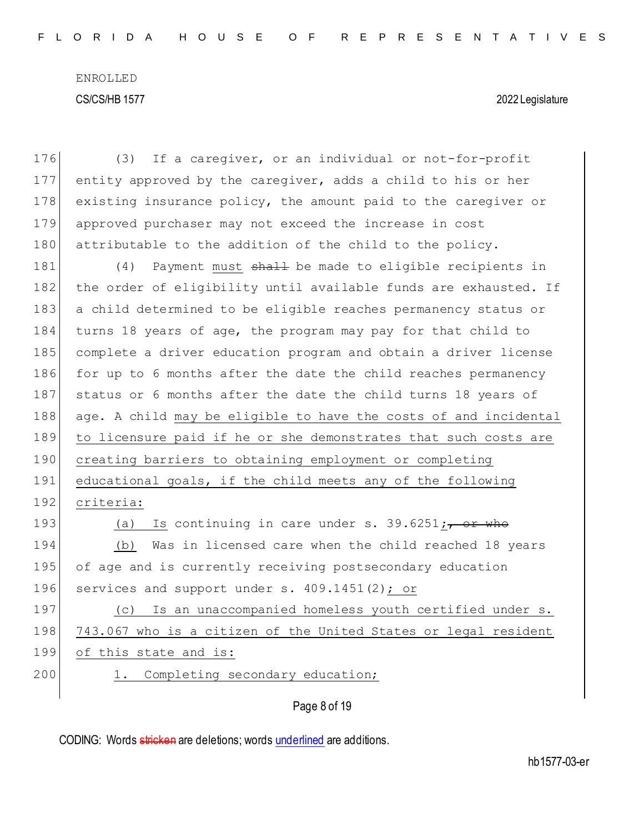| 176 | If a caregiver, or an individual or not-for-profit<br>(3)        |
|-----|------------------------------------------------------------------|
| 177 | entity approved by the caregiver, adds a child to his or her     |
| 178 | existing insurance policy, the amount paid to the caregiver or   |
| 179 | approved purchaser may not exceed the increase in cost           |
| 180 | attributable to the addition of the child to the policy.         |
| 181 | Payment must shall be made to eligible recipients in<br>(4)      |
| 182 | the order of eligibility until available funds are exhausted. If |
| 183 | a child determined to be eligible reaches permanency status or   |
| 184 | turns 18 years of age, the program may pay for that child to     |
| 185 | complete a driver education program and obtain a driver license  |
| 186 | for up to 6 months after the date the child reaches permanency   |
| 187 | status or 6 months after the date the child turns 18 years of    |
| 188 | age. A child may be eligible to have the costs of and incidental |
| 189 | to licensure paid if he or she demonstrates that such costs are  |
| 190 | creating barriers to obtaining employment or completing          |
| 191 | educational goals, if the child meets any of the following       |
| 192 | criteria:                                                        |
| 193 | Is continuing in care under s. $39.6251$ ;, or who<br>(a)        |
| 194 | Was in licensed care when the child reached 18 years<br>(b)      |
| 195 | of age and is currently receiving postsecondary education        |
| 196 | services and support under s. 409.1451(2); or                    |
| 197 | Is an unaccompanied homeless youth certified under s.<br>(C)     |
| 198 | 743.067 who is a citizen of the United States or legal resident  |
| 199 | of this state and is:                                            |
| 200 | Completing secondary education;<br>1.                            |
|     | Page 8 of 19                                                     |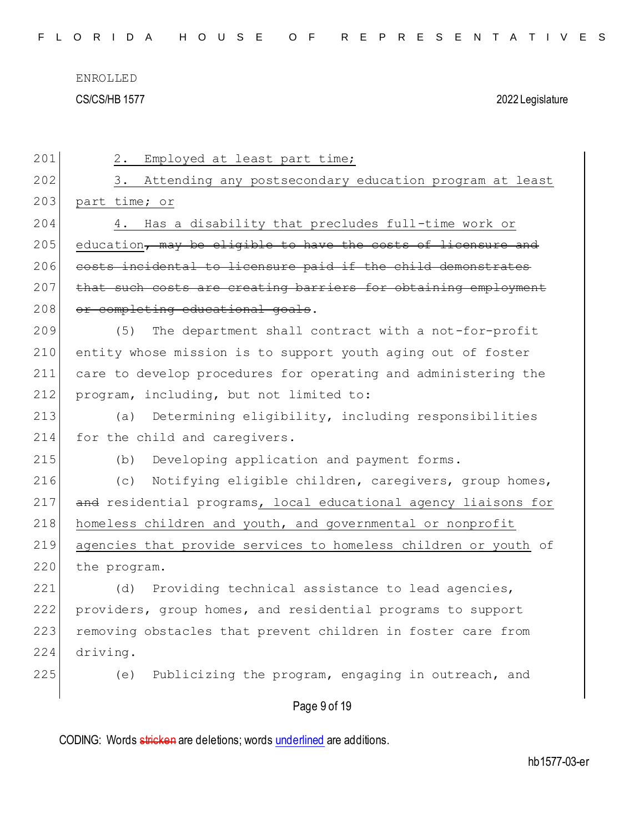| 201 | 2.<br>Employed at least part time;                              |
|-----|-----------------------------------------------------------------|
| 202 | Attending any postsecondary education program at least<br>3.    |
| 203 | part time; or                                                   |
| 204 | Has a disability that precludes full-time work or<br>4.         |
| 205 | education, may be eligible to have the costs of licensure and   |
| 206 | costs incidental to licensure paid if the child demonstrates    |
| 207 | that such costs are creating barriers for obtaining employment  |
| 208 | or completing educational goals.                                |
| 209 | The department shall contract with a not-for-profit<br>(5)      |
| 210 | entity whose mission is to support youth aging out of foster    |
| 211 | care to develop procedures for operating and administering the  |
| 212 | program, including, but not limited to:                         |
| 213 | Determining eligibility, including responsibilities<br>(a)      |
| 214 | for the child and caregivers.                                   |
| 215 | Developing application and payment forms.<br>(b)                |
| 216 | Notifying eligible children, caregivers, group homes,<br>(C)    |
| 217 | and residential programs, local educational agency liaisons for |
| 218 | homeless children and youth, and governmental or nonprofit      |
| 219 | agencies that provide services to homeless children or youth of |
| 220 | the program.                                                    |
| 221 | Providing technical assistance to lead agencies,<br>(d)         |
| 222 | providers, group homes, and residential programs to support     |
| 223 | removing obstacles that prevent children in foster care from    |
| 224 | driving.                                                        |
| 225 | Publicizing the program, engaging in outreach, and<br>(e)       |
|     | Page 9 of 19                                                    |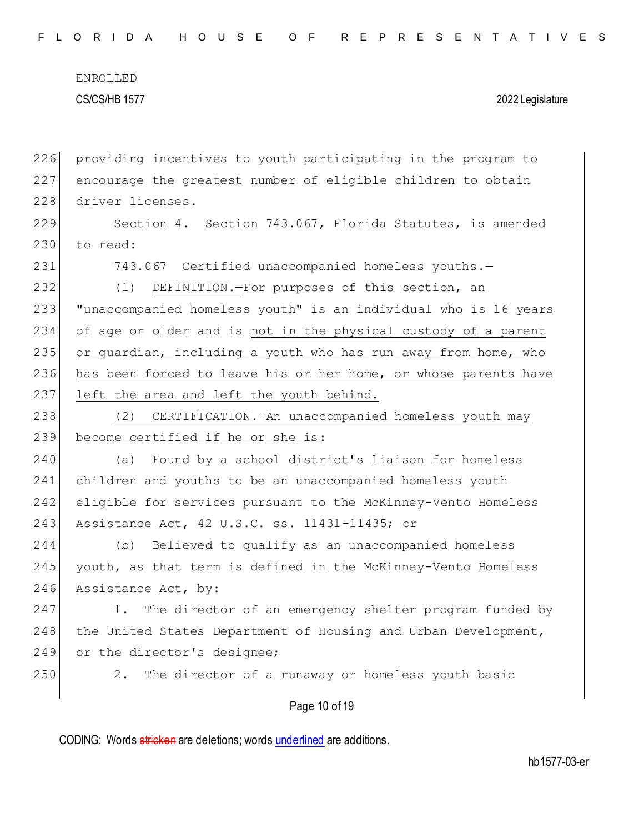F L O R I D A H O U S E O F R E P R E S E N T A T I V E S

ENROLLED CS/CS/HB 1577 2022 Legislature

226 providing incentives to youth participating in the program to 227 encourage the greatest number of eligible children to obtain 228 driver licenses. 229 Section 4. Section 743.067, Florida Statutes, is amended  $230$  to read: 231 743.067 Certified unaccompanied homeless youths.-232 (1) DEFINITION.—For purposes of this section, an 233 "unaccompanied homeless youth" is an individual who is 16 years 234 of age or older and is not in the physical custody of a parent 235 or guardian, including a youth who has run away from home, who 236 has been forced to leave his or her home, or whose parents have 237 left the area and left the youth behind. 238 (2) CERTIFICATION.—An unaccompanied homeless youth may 239 become certified if he or she is: 240 (a) Found by a school district's liaison for homeless 241 children and youths to be an unaccompanied homeless youth 242 eligible for services pursuant to the McKinney-Vento Homeless 243 Assistance Act, 42 U.S.C. ss. 11431-11435; or 244 (b) Believed to qualify as an unaccompanied homeless 245 youth, as that term is defined in the McKinney-Vento Homeless 246 Assistance Act, by: 247 1. The director of an emergency shelter program funded by 248 the United States Department of Housing and Urban Development, 249 or the director's designee; 250 2. The director of a runaway or homeless youth basic

Page 10 of 19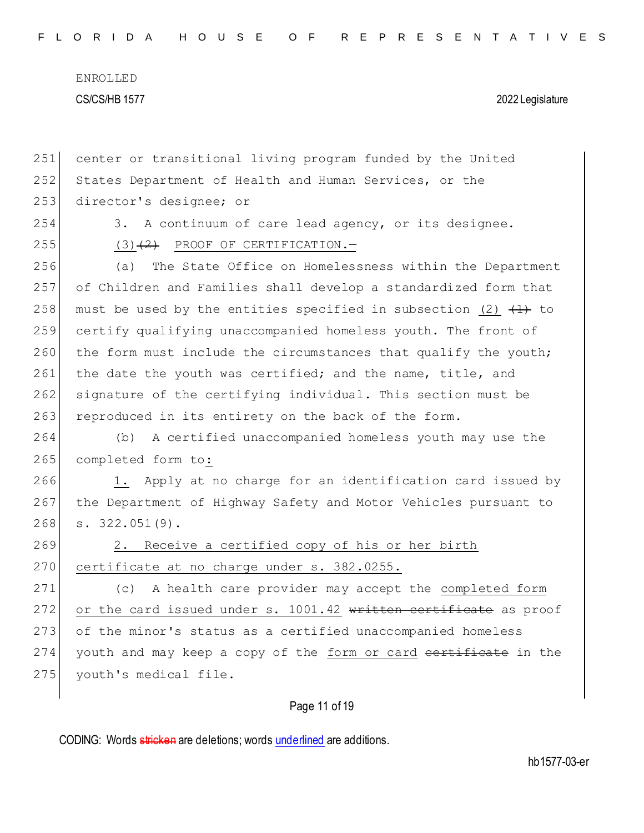| 251 | center or transitional living program funded by the United        |
|-----|-------------------------------------------------------------------|
| 252 | States Department of Health and Human Services, or the            |
| 253 | director's designee; or                                           |
| 254 | A continuum of care lead agency, or its designee.<br>3.           |
| 255 | $(3)$ $(2)$ PROOF OF CERTIFICATION. -                             |
| 256 | The State Office on Homelessness within the Department<br>(a)     |
| 257 | of Children and Families shall develop a standardized form that   |
| 258 | must be used by the entities specified in subsection (2) $(1)$ to |
| 259 | certify qualifying unaccompanied homeless youth. The front of     |
| 260 | the form must include the circumstances that qualify the youth;   |
| 261 | the date the youth was certified; and the name, title, and        |
| 262 | signature of the certifying individual. This section must be      |
| 263 | reproduced in its entirety on the back of the form.               |
| 264 | A certified unaccompanied homeless youth may use the<br>(b)       |
| 265 | completed form to:                                                |
| 266 | 1. Apply at no charge for an identification card issued by        |
|     |                                                                   |
| 267 | the Department of Highway Safety and Motor Vehicles pursuant to   |
| 268 | $s. 322.051(9)$ .                                                 |
| 269 | 2. Receive a certified copy of his or her birth                   |
| 270 | certificate at no charge under s. 382.0255.                       |
| 271 | A health care provider may accept the completed form<br>(C)       |
| 272 | or the card issued under s. 1001.42 written certificate as proof  |
| 273 | of the minor's status as a certified unaccompanied homeless       |
| 274 | youth and may keep a copy of the form or card eertificate in the  |
| 275 | youth's medical file.                                             |

Page 11 of 19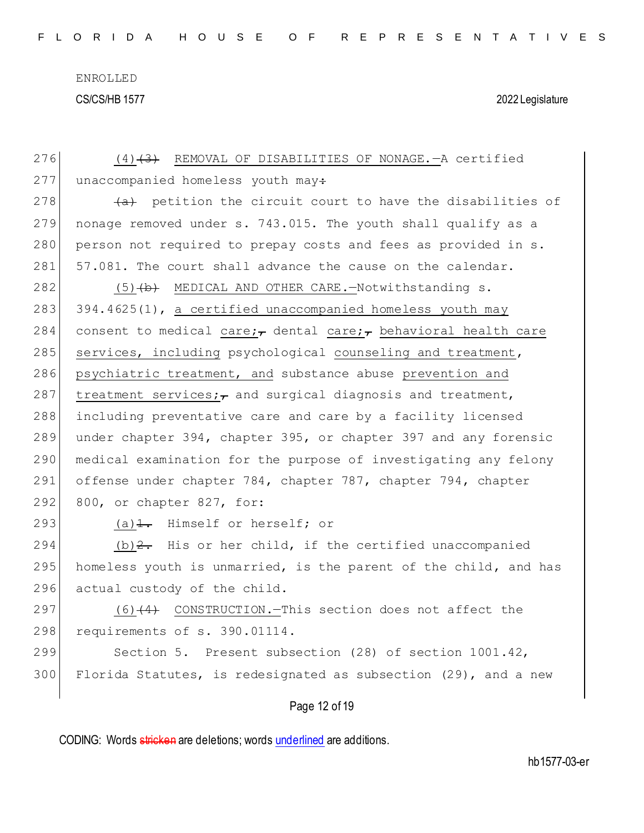| 276 | $(4)$ $(3)$ REMOVAL OF DISABILITIES OF NONAGE. A certified                 |
|-----|----------------------------------------------------------------------------|
| 277 | unaccompanied homeless youth may:                                          |
| 278 | (a) petition the circuit court to have the disabilities of                 |
| 279 | nonage removed under s. 743.015. The youth shall qualify as a              |
| 280 | person not required to prepay costs and fees as provided in s.             |
| 281 | 57.081. The court shall advance the cause on the calendar.                 |
| 282 | $(5)$ (b) MEDICAL AND OTHER CARE.-Notwithstanding s.                       |
| 283 | 394.4625(1), a certified unaccompanied homeless youth may                  |
| 284 | consent to medical care; $\tau$ dental care; $\tau$ behavioral health care |
| 285 | services, including psychological counseling and treatment,                |
| 286 | psychiatric treatment, and substance abuse prevention and                  |
| 287 | treatment services; $\tau$ and surgical diagnosis and treatment,           |
| 288 | including preventative care and care by a facility licensed                |
| 289 | under chapter 394, chapter 395, or chapter 397 and any forensic            |
| 290 | medical examination for the purpose of investigating any felony            |
| 291 | offense under chapter 784, chapter 787, chapter 794, chapter               |
| 292 | 800, or chapter 827, for:                                                  |
| 293 | (a) $\frac{1}{1}$ . Himself or herself; or                                 |
| 294 | (b) $2$ . His or her child, if the certified unaccompanied                 |
| 295 | homeless youth is unmarried, is the parent of the child, and has           |
| 296 | actual custody of the child.                                               |
| 297 | (6)(4) CONSTRUCTION.-This section does not affect the                      |
| 298 | requirements of s. 390.01114.                                              |
| 299 | Section 5. Present subsection (28) of section 1001.42,                     |
| 300 | Florida Statutes, is redesignated as subsection (29), and a new            |
|     | Page 12 of 19                                                              |
|     |                                                                            |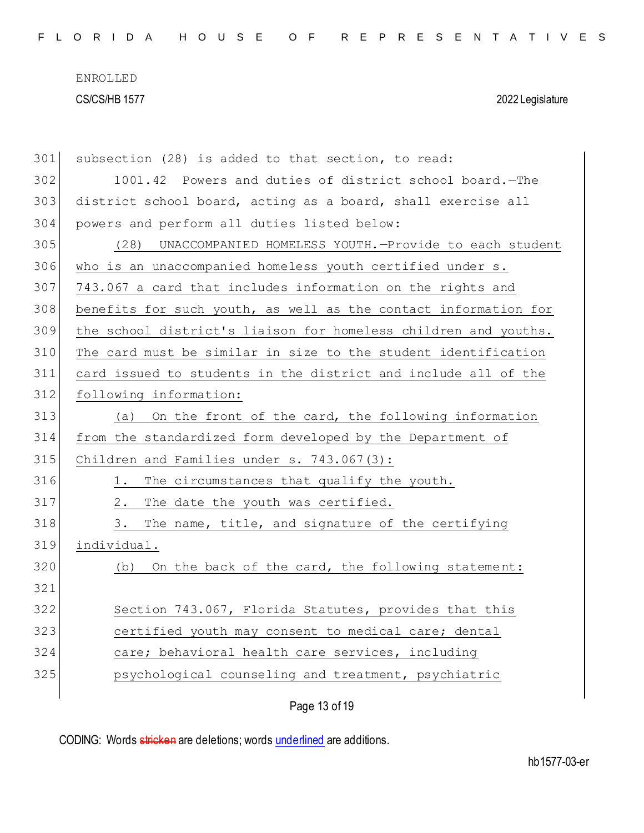| 301 | subsection (28) is added to that section, to read:              |
|-----|-----------------------------------------------------------------|
| 302 | 1001.42 Powers and duties of district school board. - The       |
| 303 | district school board, acting as a board, shall exercise all    |
| 304 | powers and perform all duties listed below:                     |
| 305 | UNACCOMPANIED HOMELESS YOUTH.-Provide to each student<br>(28)   |
| 306 | who is an unaccompanied homeless youth certified under s.       |
| 307 | 743.067 a card that includes information on the rights and      |
| 308 | benefits for such youth, as well as the contact information for |
| 309 | the school district's liaison for homeless children and youths. |
| 310 | The card must be similar in size to the student identification  |
| 311 | card issued to students in the district and include all of the  |
| 312 | following information:                                          |
| 313 | On the front of the card, the following information<br>(a)      |
| 314 | from the standardized form developed by the Department of       |
| 315 | Children and Families under s. 743.067(3):                      |
| 316 | The circumstances that qualify the youth.<br>1.                 |
| 317 | The date the youth was certified.<br>2.                         |
| 318 | The name, title, and signature of the certifying<br>3.          |
| 319 | individual.                                                     |
| 320 | On the back of the card, the following statement:<br>(b)        |
| 321 |                                                                 |
| 322 | Section 743.067, Florida Statutes, provides that this           |
| 323 | certified youth may consent to medical care; dental             |
| 324 | care; behavioral health care services, including                |
| 325 | psychological counseling and treatment, psychiatric             |
|     |                                                                 |

Page 13 of 19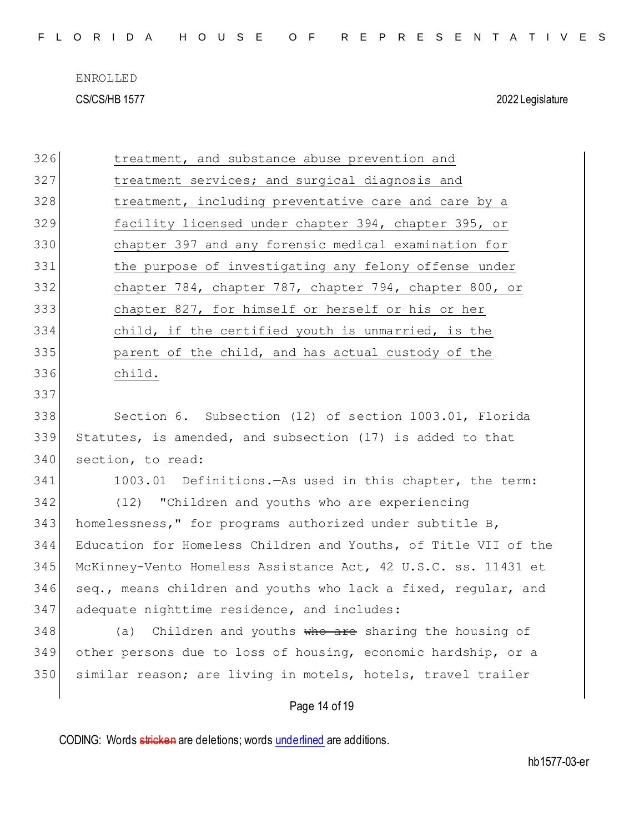| FLORIDA HOUSE OF REPRESENTATIVES |  |  |  |  |  |  |  |  |  |
|----------------------------------|--|--|--|--|--|--|--|--|--|
|----------------------------------|--|--|--|--|--|--|--|--|--|

| 326 | treatment, and substance abuse prevention and                   |
|-----|-----------------------------------------------------------------|
| 327 | treatment services; and surgical diagnosis and                  |
| 328 | treatment, including preventative care and care by a            |
| 329 | facility licensed under chapter 394, chapter 395, or            |
| 330 | chapter 397 and any forensic medical examination for            |
| 331 | the purpose of investigating any felony offense under           |
| 332 | chapter 784, chapter 787, chapter 794, chapter 800, or          |
| 333 | chapter 827, for himself or herself or his or her               |
| 334 | child, if the certified youth is unmarried, is the              |
| 335 | parent of the child, and has actual custody of the              |
| 336 | child.                                                          |
| 337 |                                                                 |
| 338 | Section 6. Subsection (12) of section 1003.01, Florida          |
| 339 | Statutes, is amended, and subsection (17) is added to that      |
| 340 | section, to read:                                               |
| 341 | 1003.01 Definitions. - As used in this chapter, the term:       |
| 342 | (12) "Children and youths who are experiencing                  |
| 343 | homelessness," for programs authorized under subtitle B,        |
| 344 | Education for Homeless Children and Youths, of Title VII of the |
| 345 | McKinney-Vento Homeless Assistance Act, 42 U.S.C. ss. 11431 et  |
| 346 | seq., means children and youths who lack a fixed, regular, and  |
| 347 | adequate nighttime residence, and includes:                     |
| 348 | Children and youths who are sharing the housing of<br>(a)       |
| 349 | other persons due to loss of housing, economic hardship, or a   |
| 350 | similar reason; are living in motels, hotels, travel trailer    |
|     | Page 14 of 19                                                   |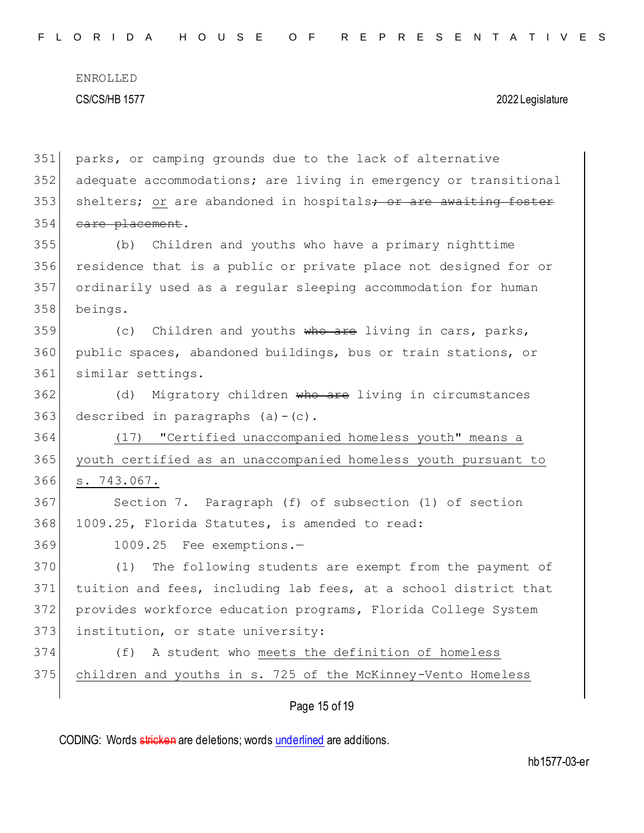| 351 | parks, or camping grounds due to the lack of alternative         |
|-----|------------------------------------------------------------------|
| 352 | adequate accommodations; are living in emergency or transitional |
| 353 | shelters; or are abandoned in hospitals; or are awaiting foster  |
| 354 | care placement.                                                  |
| 355 | Children and youths who have a primary nighttime<br>(b)          |
| 356 | residence that is a public or private place not designed for or  |
| 357 | ordinarily used as a regular sleeping accommodation for human    |
| 358 | beings.                                                          |
| 359 | Children and youths who are living in cars, parks,<br>(C)        |
| 360 | public spaces, abandoned buildings, bus or train stations, or    |
| 361 | similar settings.                                                |
| 362 | Migratory children who are living in circumstances<br>(d)        |
| 363 | described in paragraphs $(a) - (c)$ .                            |
| 364 | "Certified unaccompanied homeless youth" means a<br>(17)         |
| 365 | youth certified as an unaccompanied homeless youth pursuant to   |
| 366 | s. 743.067.                                                      |
| 367 | Section 7. Paragraph (f) of subsection (1) of section            |
| 368 | 1009.25, Florida Statutes, is amended to read:                   |
| 369 | 1009.25 Fee exemptions.-                                         |
| 370 | The following students are exempt from the payment of<br>(1)     |
| 371 | tuition and fees, including lab fees, at a school district that  |
| 372 | provides workforce education programs, Florida College System    |
| 373 | institution, or state university:                                |
| 374 | A student who meets the definition of homeless<br>(f)            |
| 375 | children and youths in s. 725 of the McKinney-Vento Homeless     |
|     |                                                                  |

Page 15 of 19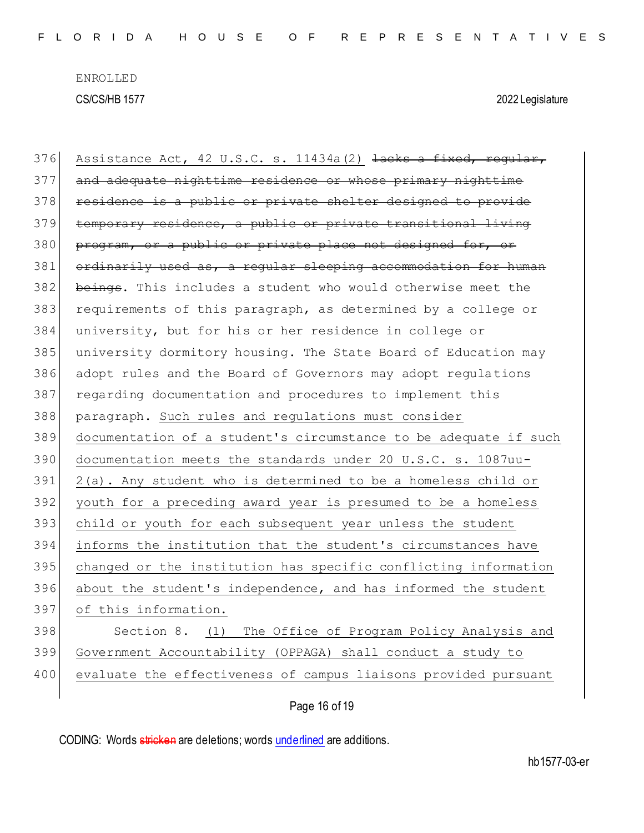| 376 | Assistance Act, 42 U.S.C. s. 11434a (2) lacks a fixed, regular,  |
|-----|------------------------------------------------------------------|
| 377 | and adequate nighttime residence or whose primary nighttime      |
| 378 | residence is a public or private shelter designed to provide     |
| 379 | temporary residence, a public or private transitional living     |
| 380 | program, or a public or private place not designed for, or       |
| 381 | ordinarily used as, a regular sleeping accommodation for human   |
| 382 | beings. This includes a student who would otherwise meet the     |
| 383 | requirements of this paragraph, as determined by a college or    |
| 384 | university, but for his or her residence in college or           |
| 385 | university dormitory housing. The State Board of Education may   |
| 386 | adopt rules and the Board of Governors may adopt regulations     |
| 387 | regarding documentation and procedures to implement this         |
| 388 | paragraph. Such rules and regulations must consider              |
|     |                                                                  |
| 389 | documentation of a student's circumstance to be adequate if such |
| 390 | documentation meets the standards under 20 U.S.C. s. 1087uu-     |
| 391 | 2(a). Any student who is determined to be a homeless child or    |
| 392 | youth for a preceding award year is presumed to be a homeless    |
| 393 | child or youth for each subsequent year unless the student       |
| 394 | informs the institution that the student's circumstances have    |
| 395 | changed or the institution has specific conflicting information  |
| 396 | about the student's independence, and has informed the student   |
| 397 | of this information.                                             |
| 398 | Section 8. (1) The Office of Program Policy Analysis and         |
| 399 | Government Accountability (OPPAGA) shall conduct a study to      |
| 400 | evaluate the effectiveness of campus liaisons provided pursuant  |

Page 16 of 19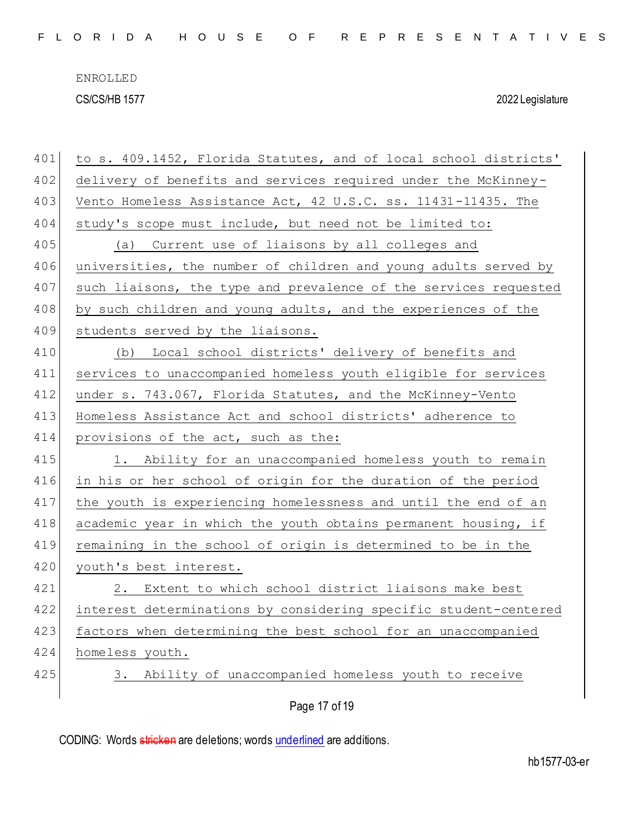| 401 | to s. 409.1452, Florida Statutes, and of local school districts' |
|-----|------------------------------------------------------------------|
| 402 | delivery of benefits and services required under the McKinney-   |
| 403 | Vento Homeless Assistance Act, 42 U.S.C. ss. 11431-11435. The    |
| 404 | study's scope must include, but need not be limited to:          |
| 405 | (a) Current use of liaisons by all colleges and                  |
| 406 | universities, the number of children and young adults served by  |
| 407 | such liaisons, the type and prevalence of the services requested |
| 408 | by such children and young adults, and the experiences of the    |
| 409 | students served by the liaisons.                                 |
| 410 | Local school districts' delivery of benefits and<br>(b)          |
| 411 | services to unaccompanied homeless youth eligible for services   |
| 412 | under s. 743.067, Florida Statutes, and the McKinney-Vento       |
| 413 | Homeless Assistance Act and school districts' adherence to       |
| 414 | provisions of the act, such as the:                              |
| 415 | 1. Ability for an unaccompanied homeless youth to remain         |
| 416 | in his or her school of origin for the duration of the period    |
| 417 | the youth is experiencing homelessness and until the end of an   |
| 418 | academic year in which the youth obtains permanent housing, if   |
| 419 | remaining in the school of origin is determined to be in the     |
| 420 | youth's best interest.                                           |
| 421 | 2. Extent to which school district liaisons make best            |
| 422 | interest determinations by considering specific student-centered |
| 423 | factors when determining the best school for an unaccompanied    |
| 424 | homeless youth.                                                  |
| 425 | Ability of unaccompanied homeless youth to receive<br>3.         |
|     | Page 17 of 19                                                    |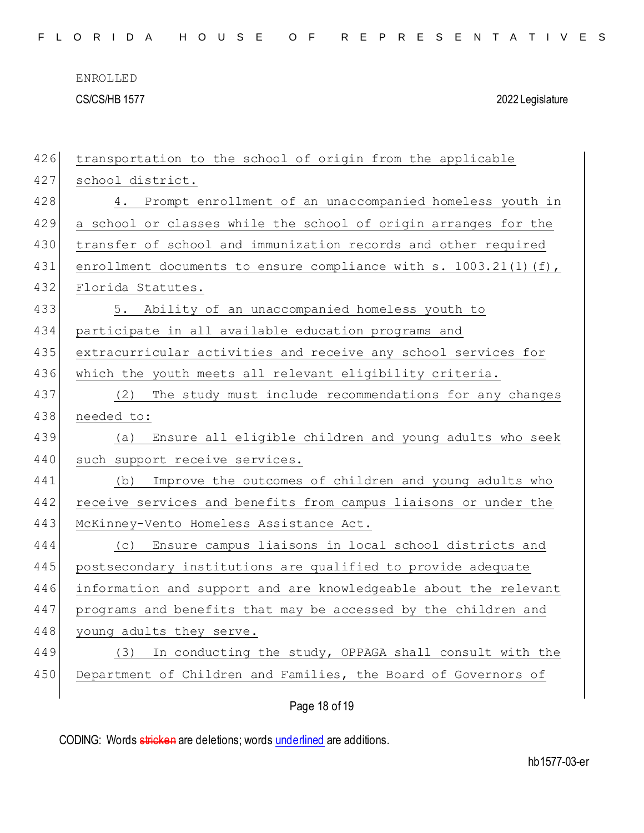| 426 | transportation to the school of origin from the applicable          |
|-----|---------------------------------------------------------------------|
| 427 | school district.                                                    |
| 428 | 4. Prompt enrollment of an unaccompanied homeless youth in          |
| 429 | a school or classes while the school of origin arranges for the     |
| 430 | transfer of school and immunization records and other required      |
| 431 | enrollment documents to ensure compliance with s. $1003.21(1)$ (f), |
| 432 | Florida Statutes.                                                   |
| 433 | 5. Ability of an unaccompanied homeless youth to                    |
| 434 | participate in all available education programs and                 |
| 435 | extracurricular activities and receive any school services for      |
| 436 | which the youth meets all relevant eligibility criteria.            |
| 437 | The study must include recommendations for any changes<br>(2)       |
| 438 | needed to:                                                          |
| 439 | Ensure all eligible children and young adults who seek<br>(a)       |
| 440 | such support receive services.                                      |
| 441 | Improve the outcomes of children and young adults who<br>(b)        |
| 442 | receive services and benefits from campus liaisons or under the     |
| 443 | McKinney-Vento Homeless Assistance Act.                             |
| 444 | (c) Ensure campus liaisons in local school districts and            |
| 445 | postsecondary institutions are qualified to provide adequate        |
| 446 | information and support and are knowledgeable about the relevant    |
| 447 | programs and benefits that may be accessed by the children and      |
| 448 | young adults they serve.                                            |
|     |                                                                     |
| 449 | (3) In conducting the study, OPPAGA shall consult with the          |
| 450 | Department of Children and Families, the Board of Governors of      |

Page 18 of 19